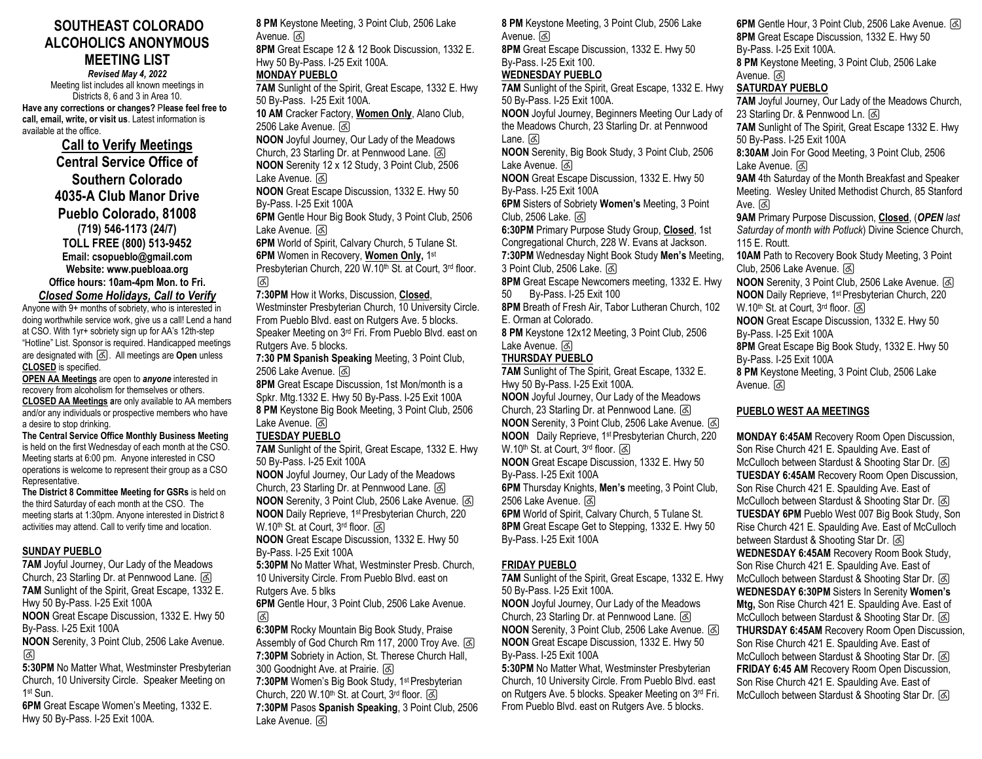# **SOUTHEAST COLORADO ALCOHOLICS ANONYMOUS MEETING LIST** *Revised May 4, 2022*

Meeting list includes all known meetings in Districts 8, 6 and 3 in Area 10. **Have any corrections or changes?** P**lease feel free to call, email, write, or visit us**. Latest information is available at the office.

**Call to Verify Meetings Central Service Office of Southern Colorado 4035-A Club Manor Drive Pueblo Colorado, 81008 (719) 546-1173 (24/7) TOLL FREE (800) 513-9452 Email: csopueblo@gmail.com Website: www.puebloaa.org Office hours: 10am-4pm Mon. to Fri.** *Closed Some Holidays, Call to Verify*

Anyone with 9+ months of sobriety, who is interested in doing worthwhile service work, give us a call! Lend a hand at CSO. With 1yr+ sobriety sign up for AA's 12th-step "Hotline" List. Sponsor is required. Handicapped meetings are designated with ♿. All meetings are **Open** unless **CLOSED** is specified.

**OPEN AA Meetings** are open to *anyone* interested in recovery from alcoholism for themselves or others. **CLOSED AA Meetings a**re only available to AA members and/or any individuals or prospective members who have

a desire to stop drinking*.* **The Central Service Office Monthly Business Meeting** is held on the first Wednesday of each month at the CSO. Meeting starts at 6:00 pm. Anyone interested in CSO operations is welcome to represent their group as a CSO Representative.

**The District 8 Committee Meeting for GSRs** is held on the third Saturday of each month at the CSO. The meeting starts at 1:30pm. Anyone interested in District 8 activities may attend. Call to verify time and location.

### **SUNDAY PUEBLO**

**7AM** Joyful Journey, Our Lady of the Meadows Church, 23 Starling Dr. at Pennwood Lane.  $[$ ৰ **7AM** Sunlight of the Spirit, Great Escape, 1332 E. Hwy 50 By-Pass. I-25 Exit 100A **NOON** Great Escape Discussion, 1332 E. Hwy 50 By-Pass. I-25 Exit 100A **NOON** Serenity, 3 Point Club, 2506 Lake Avenue. ♿

**5:30PM** No Matter What, Westminster Presbyterian Church, 10 University Circle. Speaker Meeting on 1 st Sun.

**6PM** Great Escape Women's Meeting, 1332 E. Hwy 50 By-Pass. I-25 Exit 100A.

**8 PM** Keystone Meeting, 3 Point Club, 2506 Lake Avenue. &

**8PM** Great Escape 12 & 12 Book Discussion, 1332 E. Hwy 50 By-Pass. I-25 Exit 100A. **MONDAY PUEBLO** 

**7AM** Sunlight of the Spirit, Great Escape, 1332 E. Hwy 50 By-Pass. I-25 Exit 100A.

**10 AM** Cracker Factory, **Women Only**, Alano Club, 2506 Lake Avenue. &

**NOON** Joyful Journey, Our Lady of the Meadows Church, 23 Starling Dr. at Pennwood Lane. ♿ **NOON** Serenity 12 x 12 Study, 3 Point Club, 2506

Lake Avenue. <a> **NOON** Great Escape Discussion, 1332 E. Hwy 50

By-Pass. I-25 Exit 100A **6PM** Gentle Hour Big Book Study, 3 Point Club, 2506

Lake Avenue. & **6PM** World of Spirit, Calvary Church, 5 Tulane St.

**6PM** Women in Recovery, **Women Only,** 1 st

Presbyterian Church, 220 W.10<sup>th</sup> St. at Court, 3<sup>rd</sup> floor. ढि

## **7:30PM** How it Works, Discussion, **Closed**,

Westminster Presbyterian Church, 10 University Circle. From Pueblo Blvd. east on Rutgers Ave. 5 blocks. Speaker Meeting on 3rd Fri. From Pueblo Blvd. east on Rutgers Ave. 5 blocks.

**7:30 PM Spanish Speaking** Meeting, 3 Point Club, 2506 Lake Avenue. &

**8PM** Great Escape Discussion, 1st Mon/month is a Spkr. Mtg.1332 E. Hwy 50 By-Pass. I-25 Exit 100A **8 PM** Keystone Big Book Meeting, 3 Point Club, 2506 Lake Avenue. &

## **TUESDAY PUEBLO**

**7AM** Sunlight of the Spirit, Great Escape, 1332 E. Hwy 50 By-Pass. I-25 Exit 100A

**NOON** Joyful Journey, Our Lady of the Meadows Church, 23 Starling Dr. at Pennwood Lane. ♿ **NOON** Serenity, 3 Point Club, 2506 Lake Avenue.  $\boxed{6}$ **NOON** Daily Reprieve, 1<sup>st</sup> Presbyterian Church, 220

W.10<sup>th</sup> St. at Court,  $3<sup>rd</sup>$  floor.  $\boxed{6}$ **NOON** Great Escape Discussion, 1332 E. Hwy 50

By-Pass. I-25 Exit 100A

**5:30PM** No Matter What, Westminster Presb. Church, 10 University Circle. From Pueblo Blvd. east on

Rutgers Ave. 5 blks

**6PM** Gentle Hour, 3 Point Club, 2506 Lake Avenue. ♿

**6:30PM** Rocky Mountain Big Book Study, Praise Assembly of God Church Rm 117, 2000 Troy Ave. [&] **7:30PM** Sobriety in Action, St. Therese Church Hall, 300 Goodnight Ave. at Prairie. & 7:30PM Women's Big Book Study, 1<sup>st</sup> Presbyterian Church, 220 W.10<sup>th</sup> St. at Court, 3<sup>rd</sup> floor. යි **7:30PM** Pasos **Spanish Speaking**, 3 Point Club, 2506 Lake Avenue. &

**8 PM** Keystone Meeting, 3 Point Club, 2506 Lake Avenue. &

**8PM** Great Escape Discussion, 1332 E. Hwy 50 By-Pass. I-25 Exit 100.

# **WEDNESDAY PUEBLO**

**7AM** Sunlight of the Spirit, Great Escape, 1332 E. Hwy 50 By-Pass. I-25 Exit 100A. **NOON** Joyful Journey, Beginners Meeting Our Lady of the Meadows Church, 23 Starling Dr. at Pennwood Lane. [&]

**NOON** Serenity, Big Book Study, 3 Point Club, 2506 Lake Avenue. &

**NOON** Great Escape Discussion, 1332 E. Hwy 50 By-Pass. I-25 Exit 100A

**6PM** Sisters of Sobriety **Women's** Meeting, 3 Point Club, 2506 Lake. &

**6:30PM** Primary Purpose Study Group, **Closed**, 1st Congregational Church, 228 W. Evans at Jackson. **7:30PM** Wednesday Night Book Study **Men's** Meeting, 3 Point Club, 2506 Lake. [&]

**8PM** Great Escape Newcomers meeting, 1332 E. Hwy 50 By-Pass. I-25 Exit 100

**8PM** Breath of Fresh Air, Tabor Lutheran Church, 102 E. Orman at Colorado.

**8 PM** Keystone 12x12 Meeting, 3 Point Club, 2506 Lake Avenue. &

# **THURSDAY PUEBLO**

**7AM** Sunlight of The Spirit, Great Escape, 1332 E. Hwy 50 By-Pass. I-25 Exit 100A. **NOON** Joyful Journey, Our Lady of the Meadows Church, 23 Starling Dr. at Pennwood Lane.  $\boxed{6}$ **NOON** Serenity, 3 Point Club, 2506 Lake Avenue. & **NOON** Daily Reprieve, 1 st Presbyterian Church, 220 W.10th St. at Court, 3 rd floor. ♿ **NOON** Great Escape Discussion, 1332 E. Hwy 50 By-Pass. I-25 Exit 100A **6PM** Thursday Knights, **Men's** meeting, 3 Point Club, 2506 Lake Avenue. [&] **6PM** World of Spirit, Calvary Church, 5 Tulane St.

**8PM** Great Escape Get to Stepping, 1332 E. Hwy 50 By-Pass. I-25 Exit 100A

# **FRIDAY PUEBLO**

**7AM** Sunlight of the Spirit, Great Escape, 1332 E. Hwy 50 By-Pass. I-25 Exit 100A.

**NOON** Joyful Journey, Our Lady of the Meadows Church, 23 Starling Dr. at Pennwood Lane. ♿ **NOON** Serenity, 3 Point Club, 2506 Lake Avenue. & **NOON** Great Escape Discussion, 1332 E. Hwy 50 By-Pass. I-25 Exit 100A

**5:30PM** No Matter What, Westminster Presbyterian Church, 10 University Circle. From Pueblo Blvd. east on Rutgers Ave. 5 blocks. Speaker Meeting on 3rd Fri. From Pueblo Blvd. east on Rutgers Ave. 5 blocks.

6PM Gentle Hour, 3 Point Club, 2506 Lake Avenue.  $\boxed{6}$ **8PM** Great Escape Discussion, 1332 E. Hwy 50 By-Pass. I-25 Exit 100A. **8 PM** Keystone Meeting, 3 Point Club, 2506 Lake Avenue. बि **SATURDAY PUEBLO 7AM** Joyful Journey, Our Lady of the Meadows Church, 23 Starling Dr. & Pennwood Ln. [&] **7AM** Sunlight of The Spirit, Great Escape 1332 E. Hwy 50 By-Pass. I-25 Exit 100A **8:30AM** Join For Good Meeting, 3 Point Club, 2506 Lake Avenue. & **9AM** 4th Saturday of the Month Breakfast and Speaker Meeting. Wesley United Methodist Church, 85 Stanford Ave. ন্তি **9AM** Primary Purpose Discussion, **Closed**, (*OPEN last Saturday of month with Potluck*) Divine Science Church, 115 E. Routt. **10AM** Path to Recovery Book Study Meeting, 3 Point Club, 2506 Lake Avenue. < **NOON** Serenity, 3 Point Club, 2506 Lake Avenue. & **NOON** Daily Reprieve, 1 st Presbyterian Church, 220 W.10 th St. at Court, 3 rd floor. ♿ **NOON** Great Escape Discussion, 1332 E. Hwy 50 By-Pass. I-25 Exit 100A **8PM** Great Escape Big Book Study, 1332 E. Hwy 50 By-Pass. I-25 Exit 100A **8 PM** Keystone Meeting, 3 Point Club, 2506 Lake Avenue. बि।

## **PUEBLO WEST AA MEETINGS**

**MONDAY 6:45AM** Recovery Room Open Discussion, Son Rise Church 421 E. Spaulding Ave. East of McCulloch between Stardust & Shooting Star Dr. & **TUESDAY 6:45AM** Recovery Room Open Discussion, Son Rise Church 421 E. Spaulding Ave. East of McCulloch between Stardust & Shooting Star Dr. & **TUESDAY 6PM** Pueblo West 007 Big Book Study, Son Rise Church 421 E. Spaulding Ave. East of McCulloch between Stardust & Shooting Star Dr. & **WEDNESDAY 6:45AM** Recovery Room Book Study, Son Rise Church 421 E. Spaulding Ave. East of McCulloch between Stardust & Shooting Star Dr. & **WEDNESDAY 6:30PM** Sisters In Serenity **Women's Mtg,** Son Rise Church 421 E. Spaulding Ave. East of McCulloch between Stardust & Shooting Star Dr. [3] **THURSDAY 6:45AM** Recovery Room Open Discussion, Son Rise Church 421 E. Spaulding Ave. East of McCulloch between Stardust & Shooting Star Dr. & **FRIDAY 6:45 AM** Recovery Room Open Discussion, Son Rise Church 421 E. Spaulding Ave. East of McCulloch between Stardust & Shooting Star Dr. [3]